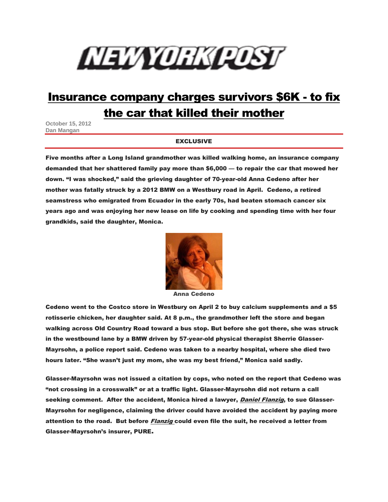## NEWORKQOST

## [Insurance company charges survivors \\$6K -](http://www.nypost.com/p/news/local/kill_bill_in_urer_horror_iRaN4I9yNV8sGN7dXTBUxI) to fix [the car that killed their mother](http://www.nypost.com/p/news/local/kill_bill_in_urer_horror_iRaN4I9yNV8sGN7dXTBUxI)

**October 15, 2012 Dan Mangan** 

## EXCLUSIVE

Five months after a Long Island grandmother was killed walking home, an insurance company demanded that her shattered family pay more than \$6,000 — to repair the car that mowed her down. "I was shocked," said the grieving daughter of 70-year-old Anna Cedeno after her mother was fatally struck by a 2012 BMW on a Westbury road in April. Cedeno, a retired seamstress who emigrated from Ecuador in the early 70s, had beaten stomach cancer six years ago and was enjoying her new lease on life by cooking and spending time with her four grandkids, said the daughter, Monica.



Anna Cedeno

Cedeno went to the Costco store in Westbury on April 2 to buy calcium supplements and a \$5 rotisserie chicken, her daughter said. At 8 p.m., the grandmother left the store and began walking across Old Country Road toward a bus stop. But before she got there, she was struck in the westbound lane by a BMW driven by 57-year-old physical therapist Sherrie Glasser-Mayrsohn, a police report said. Cedeno was taken to a nearby hospital, where she died two hours later. "She wasn't just my mom, she was my best friend," Monica said sadly.

Glasser-Mayrsohn was not issued a citation by cops, who noted on the report that Cedeno was "not crossing in a crosswalk" or at a traffic light. Glasser-Mayrsohn did not return a call seeking comment. After the accident, Monica hired a lawyer, Daniel Flanzig, to sue Glasser-Mayrsohn for negligence, claiming the driver could have avoided the accident by paying more attention to the road. But before *Flanzig* could even file the suit, he received a letter from Glasser-Mayrsohn's insurer, PURE.